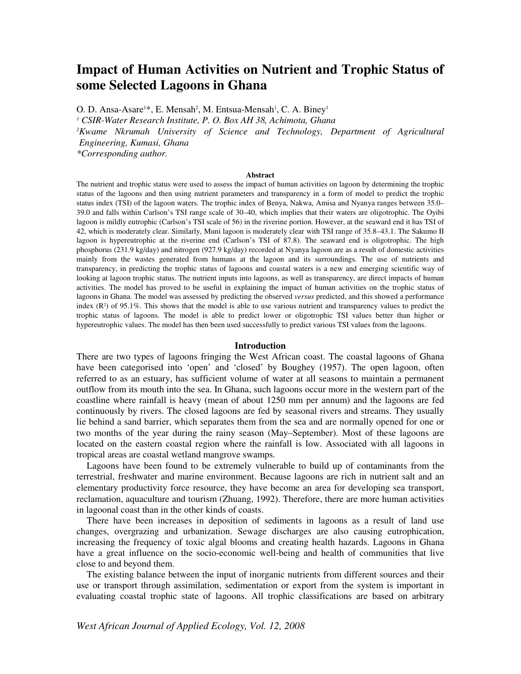# **Impact of Human Activities on Nutrient and Trophic Status of some Selected Lagoons in Ghana**

O. D. Ansa-Asare<sup>1\*</sup>, E. Mensah<sup>2</sup>, M. Entsua-Mensah<sup>1</sup>, C. A. Biney<sup>1</sup> <sup>1</sup> CSIR-Water Research Institute, P. O. Box AH 38, Achimota, Ghana *<sup>2</sup>Kwame Nkrumah University of Science and Technology, Department of Agricultural Engineering, Kumasi, Ghana \*Corresponding author.*

#### **Abstract**

The nutrient and trophic status were used to assess the impact of human activities on lagoon by determining the trophic status of the lagoons and then using nutrient parameters and transparency in a form of model to predict the trophic status index (TSI) of the lagoon waters. The trophic index of Benya, Nakwa, Amisa and Nyanya ranges between 35.0– 39.0 and falls within Carlson's TSI range scale of 30–40, which implies that their waters are oligotrophic. The Oyibi lagoon is mildly eutrophic (Carlson's TSI scale of 56) in the riverine portion. However, at the seaward end it has TSI of 42, which is moderately clear. Similarly, Muni lagoon is moderately clear with TSI range of 35.8–43.1. The Sakumo II lagoon is hypereutrophic at the riverine end (Carlson's TSI of 87.8). The seaward end is oligotrophic. The high phosphorus (231.9 kg/day) and nitrogen (927.9 kg/day) recorded at Nyanya lagoon are as a result of domestic activities mainly from the wastes generated from humans at the lagoon and its surroundings. The use of nutrients and transparency, in predicting the trophic status of lagoons and coastal waters is a new and emerging scientific way of looking at lagoon trophic status. The nutrient inputs into lagoons, as well as transparency, are direct impacts of human activities. The model has proved to be useful in explaining the impact of human activities on the trophic status of lagoons in Ghana. The model was assessed by predicting the observed *versus* predicted, and this showed a performance index  $(R<sup>2</sup>)$  of 95.1%. This shows that the model is able to use various nutrient and transparency values to predict the trophic status of lagoons. The model is able to predict lower or oligotrophic TSI values better than higher or hypereutrophic values. The model has then been used successfully to predict various TSI values from the lagoons.

# **Introduction**

There are two types of lagoons fringing the West African coast. The coastal lagoons of Ghana have been categorised into 'open' and 'closed' by Boughey (1957). The open lagoon, often referred to as an estuary, has sufficient volume of water at all seasons to maintain a permanent outflow from its mouth into the sea. In Ghana, such lagoons occur more in the western part of the coastline where rainfall is heavy (mean of about 1250 mm per annum) and the lagoons are fed continuously by rivers. The closed lagoons are fed by seasonal rivers and streams. They usually lie behind a sand barrier, which separates them from the sea and are normally opened for one or two months of the year during the rainy season (May–September). Most of these lagoons are located on the eastern coastal region where the rainfall is low. Associated with all lagoons in tropical areas are coastal wetland mangrove swamps.

Lagoons have been found to be extremely vulnerable to build up of contaminants from the terrestrial, freshwater and marine environment. Because lagoons are rich in nutrient salt and an elementary productivity force resource, they have become an area for developing sea transport, reclamation, aquaculture and tourism (Zhuang, 1992). Therefore, there are more human activities in lagoonal coast than in the other kinds of coasts.

There have been increases in deposition of sediments in lagoons as a result of land use changes, overgrazing and urbanization. Sewage discharges are also causing eutrophication, increasing the frequency of toxic algal blooms and creating health hazards. Lagoons in Ghana have a great influence on the socio-economic well-being and health of communities that live close to and beyond them.

The existing balance between the input of inorganic nutrients from different sources and their use or transport through assimilation, sedimentation or export from the system is important in evaluating coastal trophic state of lagoons. All trophic classifications are based on arbitrary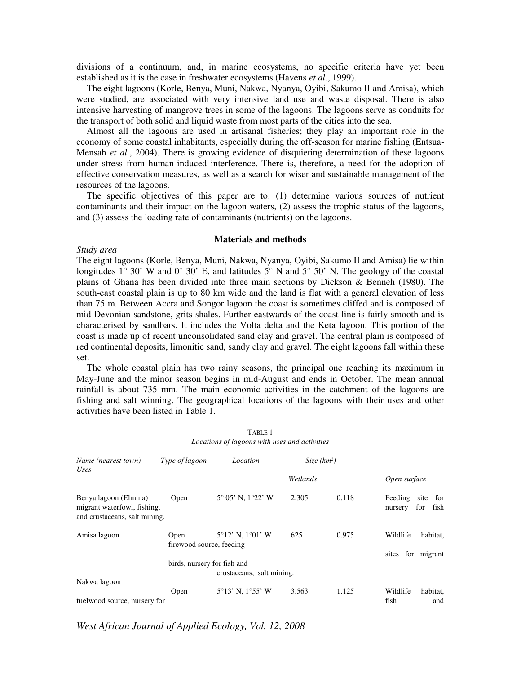divisions of a continuum, and, in marine ecosystems, no specific criteria have yet been established as it is the case in freshwater ecosystems (Havens *et al*., 1999).

The eight lagoons (Korle, Benya, Muni, Nakwa, Nyanya, Oyibi, Sakumo II and Amisa), which were studied, are associated with very intensive land use and waste disposal. There is also intensive harvesting of mangrove trees in some of the lagoons. The lagoons serve as conduits for the transport of both solid and liquid waste from most parts of the cities into the sea.

Almost all the lagoons are used in artisanal fisheries; they play an important role in the economy of some coastal inhabitants, especially during the off-season for marine fishing (Entsua-Mensah *et al*., 2004). There is growing evidence of disquieting determination of these lagoons under stress from human-induced interference. There is, therefore, a need for the adoption of effective conservation measures, as well as a search for wiser and sustainable management of the resources of the lagoons.

The specific objectives of this paper are to: (1) determine various sources of nutrient contaminants and their impact on the lagoon waters, (2) assess the trophic status of the lagoons, and (3) assess the loading rate of contaminants (nutrients) on the lagoons.

# **Materials and methods**

#### *Study area*

The eight lagoons (Korle, Benya, Muni, Nakwa, Nyanya, Oyibi, Sakumo II and Amisa) lie within longitudes 1° 30' W and  $0^{\circ}$  30' E, and latitudes 5° N and 5° 50' N. The geology of the coastal plains of Ghana has been divided into three main sections by Dickson & Benneh (1980). The south-east coastal plain is up to 80 km wide and the land is flat with a general elevation of less than 75 m. Between Accra and Songor lagoon the coast is sometimes cliffed and is composed of mid Devonian sandstone, grits shales. Further eastwards of the coast line is fairly smooth and is characterised by sandbars. It includes the Volta delta and the Keta lagoon. This portion of the coast is made up of recent unconsolidated sand clay and gravel. The central plain is composed of red continental deposits, limonitic sand, sandy clay and gravel. The eight lagoons fall within these set.

The whole coastal plain has two rainy seasons, the principal one reaching its maximum in May-June and the minor season begins in mid-August and ends in October. The mean annual rainfall is about 735 mm. The main economic activities in the catchment of the lagoons are fishing and salt winning. The geographical locations of the lagoons with their uses and other activities have been listed in Table 1.

| Name (nearest town)<br>Uses                                                           | Type of lagoon                   | Location                             | $Size (km^2)$ |       |                                                  |
|---------------------------------------------------------------------------------------|----------------------------------|--------------------------------------|---------------|-------|--------------------------------------------------|
|                                                                                       |                                  |                                      | Wetlands      |       | Open surface                                     |
| Benya lagoon (Elmina)<br>migrant waterfowl, fishing,<br>and crustaceans, salt mining. | Open                             | $5^{\circ}$ 05' N, $1^{\circ}$ 22' W | 2.305         | 0.118 | Feeding<br>site<br>for<br>for<br>fish<br>nursery |
| Amisa lagoon                                                                          | Open<br>firewood source, feeding | $5^{\circ}12'$ N, $1^{\circ}01'$ W   | 625           | 0.975 | Wildlife<br>habitat,<br>for migrant<br>sites     |
|                                                                                       | birds, nursery for fish and      | crustaceans, salt mining.            |               |       |                                                  |
| Nakwa lagoon                                                                          |                                  |                                      |               |       |                                                  |
|                                                                                       | Open                             | $5^{\circ}13'$ N, $1^{\circ}55'$ W   | 3.563         | 1.125 | Wildlife<br>habitat,                             |
| fuelwood source, nursery for                                                          |                                  |                                      |               |       | fish<br>and                                      |

#### TABLE 1 *Locations of lagoons with uses and activities*

*West African Journal of Applied Ecology, Vol. 12, 2008*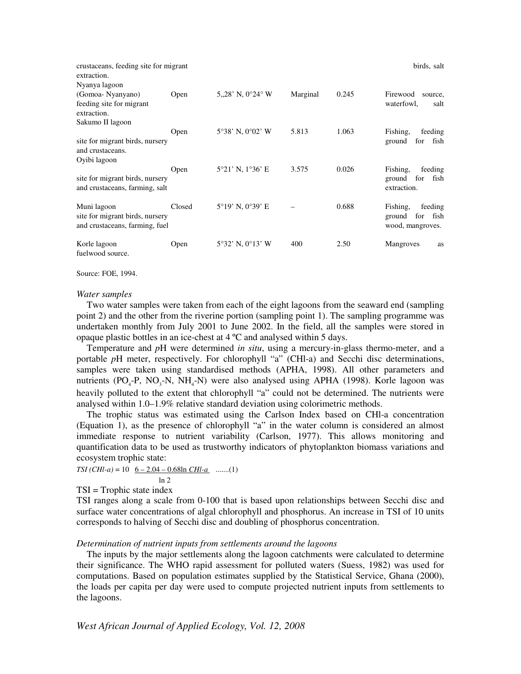| crustaceans, feeding site for migrant<br>extraction. |        |                                    |          |       | birds, salt           |
|------------------------------------------------------|--------|------------------------------------|----------|-------|-----------------------|
| Nyanya lagoon                                        |        |                                    |          |       |                       |
| (Gomoa-Nyanyano)                                     | Open   | 5,,28' N, $0^{\circ}24^{\circ}$ W  | Marginal | 0.245 | Firewood<br>source,   |
| feeding site for migrant                             |        |                                    |          |       | waterfowl,<br>salt    |
| extraction.                                          |        |                                    |          |       |                       |
| Sakumo II lagoon                                     |        |                                    |          |       |                       |
|                                                      | Open   | $5^{\circ}38'$ N, $0^{\circ}02'$ W | 5.813    | 1.063 | Fishing,<br>feeding   |
| site for migrant birds, nursery                      |        |                                    |          |       | fish<br>for<br>ground |
| and crustaceans.                                     |        |                                    |          |       |                       |
| Oyibi lagoon                                         |        |                                    |          |       |                       |
|                                                      | Open   | $5^{\circ}21'$ N, $1^{\circ}36'$ E | 3.575    | 0.026 | Fishing,<br>feeding   |
| site for migrant birds, nursery                      |        |                                    |          |       | for<br>fish<br>ground |
| and crustaceans, farming, salt                       |        |                                    |          |       | extraction.           |
| Muni lagoon                                          | Closed | $5^{\circ}19'$ N, $0^{\circ}39'$ E |          | 0.688 | Fishing,<br>feeding   |
| site for migrant birds, nursery                      |        |                                    |          |       | for<br>fish<br>ground |
| and crustaceans, farming, fuel                       |        |                                    |          |       | wood, mangroves.      |
| Korle lagoon                                         | Open   | $5^{\circ}32'$ N, $0^{\circ}13'$ W | 400      | 2.50  | Mangroves<br>as       |
| fuelwood source.                                     |        |                                    |          |       |                       |

Source: FOE, 1994.

## *Water samples*

Two water samples were taken from each of the eight lagoons from the seaward end (sampling point 2) and the other from the riverine portion (sampling point 1). The sampling programme was undertaken monthly from July 2001 to June 2002. In the field, all the samples were stored in opaque plastic bottles in an ice-chest at 4 ºC and analysed within 5 days.

Temperature and *p*H were determined *in situ*, using a mercury-in-glass thermo-meter, and a portable *p*H meter, respectively. For chlorophyll "a" (CHl-a) and Secchi disc determinations, samples were taken using standardised methods (APHA, 1998). All other parameters and nutrients (PO<sub>4</sub>-P, NO<sub>3</sub>-N, NH<sub>4</sub>-N) were also analysed using APHA (1998). Korle lagoon was heavily polluted to the extent that chlorophyll "a" could not be determined. The nutrients were analysed within 1.0–1.9% relative standard deviation using colorimetric methods.

The trophic status was estimated using the Carlson Index based on CHl-a concentration (Equation 1), as the presence of chlorophyll "a" in the water column is considered an almost immediate response to nutrient variability (Carlson, 1977). This allows monitoring and quantification data to be used as trustworthy indicators of phytoplankton biomass variations and ecosystem trophic state:

$$
TSI (CHl-a) = 10 \quad \underline{6 - 2.04 - 0.68 \ln CHl-a} \quad ......(1)
$$
  

$$
\ln 2
$$

 $TSI = Trophic state index$ 

TSI ranges along a scale from 0-100 that is based upon relationships between Secchi disc and surface water concentrations of algal chlorophyll and phosphorus. An increase in TSI of 10 units corresponds to halving of Secchi disc and doubling of phosphorus concentration.

# *Determination of nutrient inputs from settlements around the lagoons*

The inputs by the major settlements along the lagoon catchments were calculated to determine their significance. The WHO rapid assessment for polluted waters (Suess, 1982) was used for computations. Based on population estimates supplied by the Statistical Service, Ghana (2000), the loads per capita per day were used to compute projected nutrient inputs from settlements to the lagoons.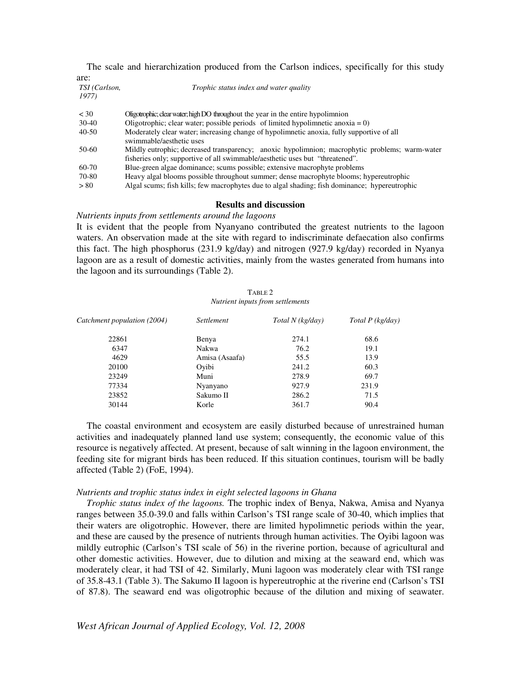The scale and hierarchization produced from the Carlson indices, specifically for this study are:

| TSI (Carlson,<br>1977) | Trophic status index and water quality                                                                                                                                         |
|------------------------|--------------------------------------------------------------------------------------------------------------------------------------------------------------------------------|
| $<$ 30                 | Oligotrophic; clear water, high DO throughout the year in the entire hypolimnion                                                                                               |
| 30-40                  | Oligotrophic; clear water; possible periods of limited hypolimnetic anoxia = $0$ )                                                                                             |
| 40-50                  | Moderately clear water; increasing change of hypolimnetic anoxia, fully supportive of all<br>swimmable/aesthetic uses                                                          |
| 50-60                  | Mildly eutrophic; decreased transparency; anoxic hypolimnion; macrophytic problems; warm-water<br>fisheries only; supportive of all swimmable/aesthetic uses but "threatened". |
| 60-70                  | Blue-green algae dominance; scums possible; extensive macrophyte problems                                                                                                      |
| 70-80                  | Heavy algal blooms possible throughout summer; dense macrophyte blooms; hypereutrophic                                                                                         |
| > 80                   | Algal scums; fish kills; few macrophytes due to algal shading; fish dominance; hypereutrophic                                                                                  |

## **Results and discussion**

*Nutrients inputs from settlements around the lagoons*

It is evident that the people from Nyanyano contributed the greatest nutrients to the lagoon waters. An observation made at the site with regard to indiscriminate defaecation also confirms this fact. The high phosphorus (231.9 kg/day) and nitrogen (927.9 kg/day) recorded in Nyanya lagoon are as a result of domestic activities, mainly from the wastes generated from humans into the lagoon and its surroundings (Table 2).

TABLE 2 *Nutrient inputs from settlements* 

| Catchment population (2004) | Settlement     | Total N (kg/day) | Total P (kg/day) |
|-----------------------------|----------------|------------------|------------------|
| 22861                       | Benya          | 274.1            | 68.6             |
| 6347                        | Nakwa          | 76.2             | 19.1             |
| 4629                        | Amisa (Asaafa) | 55.5             | 13.9             |
| 20100                       | Ovibi          | 241.2            | 60.3             |
| 23249                       | Muni           | 278.9            | 69.7             |
| 77334                       | Nyanyano       | 927.9            | 231.9            |
| 23852                       | Sakumo II      | 286.2            | 71.5             |
| 30144                       | Korle          | 361.7            | 90.4             |

The coastal environment and ecosystem are easily disturbed because of unrestrained human activities and inadequately planned land use system; consequently, the economic value of this resource is negatively affected. At present, because of salt winning in the lagoon environment, the feeding site for migrant birds has been reduced. If this situation continues, tourism will be badly affected (Table 2) (FoE, 1994).

# *Nutrients and trophic status index in eight selected lagoons in Ghana*

*Trophic status index of the lagoons.* The trophic index of Benya, Nakwa, Amisa and Nyanya ranges between 35.0-39.0 and falls within Carlson's TSI range scale of 30-40, which implies that their waters are oligotrophic. However, there are limited hypolimnetic periods within the year, and these are caused by the presence of nutrients through human activities. The Oyibi lagoon was mildly eutrophic (Carlson's TSI scale of 56) in the riverine portion, because of agricultural and other domestic activities. However, due to dilution and mixing at the seaward end, which was moderately clear, it had TSI of 42. Similarly, Muni lagoon was moderately clear with TSI range of 35.8-43.1 (Table 3). The Sakumo II lagoon is hypereutrophic at the riverine end (Carlson's TSI of 87.8). The seaward end was oligotrophic because of the dilution and mixing of seawater.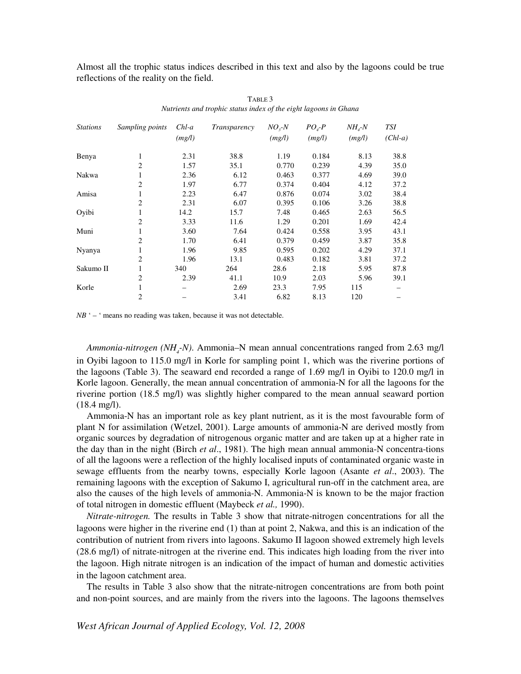Almost all the trophic status indices described in this text and also by the lagoons could be true reflections of the reality on the field.

| <b>Stations</b> | Sampling points | Chl-a<br>(mg/l) | Transparency | $NO3-N$<br>(mg/l) | $POa-P$<br>(mg/l) | $NH_{4}$ -N<br>(mg/l) | TSI<br>$(Chl-a)$ |
|-----------------|-----------------|-----------------|--------------|-------------------|-------------------|-----------------------|------------------|
| Benya           | 1               | 2.31            | 38.8         | 1.19              | 0.184             | 8.13                  | 38.8             |
|                 | 2               | 1.57            | 35.1         | 0.770             | 0.239             | 4.39                  | 35.0             |
| Nakwa           | 1               | 2.36            | 6.12         | 0.463             | 0.377             | 4.69                  | 39.0             |
|                 | 2               | 1.97            | 6.77         | 0.374             | 0.404             | 4.12                  | 37.2             |
| Amisa           | 1               | 2.23            | 6.47         | 0.876             | 0.074             | 3.02                  | 38.4             |
|                 | 2               | 2.31            | 6.07         | 0.395             | 0.106             | 3.26                  | 38.8             |
| Oyibi           | 1               | 14.2            | 15.7         | 7.48              | 0.465             | 2.63                  | 56.5             |
|                 | 2               | 3.33            | 11.6         | 1.29              | 0.201             | 1.69                  | 42.4             |
| Muni            | 1               | 3.60            | 7.64         | 0.424             | 0.558             | 3.95                  | 43.1             |
|                 | 2               | 1.70            | 6.41         | 0.379             | 0.459             | 3.87                  | 35.8             |
| Nyanya          | 1               | 1.96            | 9.85         | 0.595             | 0.202             | 4.29                  | 37.1             |
|                 | 2               | 1.96            | 13.1         | 0.483             | 0.182             | 3.81                  | 37.2             |
| Sakumo II       | 1               | 340             | 264          | 28.6              | 2.18              | 5.95                  | 87.8             |
|                 | $\overline{2}$  | 2.39            | 41.1         | 10.9              | 2.03              | 5.96                  | 39.1             |
| Korle           | $\mathbf{1}$    |                 | 2.69         | 23.3              | 7.95              | 115                   |                  |
|                 | $\overline{2}$  |                 | 3.41         | 6.82              | 8.13              | 120                   |                  |

TABLE 3 *Nutrients and trophic status index of the eight lagoons in Ghana* 

*NB*  $\cdot$  –  $\cdot$  means no reading was taken, because it was not detectable.

*Ammonia-nitrogen (NH<sup>4</sup> -N)*. Ammonia–N mean annual concentrations ranged from 2.63 mg/l in Oyibi lagoon to 115.0 mg/l in Korle for sampling point 1, which was the riverine portions of the lagoons (Table 3). The seaward end recorded a range of 1.69 mg/l in Oyibi to 120.0 mg/l in Korle lagoon. Generally, the mean annual concentration of ammonia-N for all the lagoons for the riverine portion (18.5 mg/l) was slightly higher compared to the mean annual seaward portion (18.4 mg/l).

Ammonia-N has an important role as key plant nutrient, as it is the most favourable form of plant N for assimilation (Wetzel, 2001). Large amounts of ammonia-N are derived mostly from organic sources by degradation of nitrogenous organic matter and are taken up at a higher rate in the day than in the night (Birch *et al*., 1981). The high mean annual ammonia-N concentra-tions of all the lagoons were a reflection of the highly localised inputs of contaminated organic waste in sewage effluents from the nearby towns, especially Korle lagoon (Asante *et al*., 2003). The remaining lagoons with the exception of Sakumo I, agricultural run-off in the catchment area, are also the causes of the high levels of ammonia-N. Ammonia-N is known to be the major fraction of total nitrogen in domestic effluent (Maybeck *et al.,* 1990).

*Nitrate-nitrogen.* The results in Table 3 show that nitrate-nitrogen concentrations for all the lagoons were higher in the riverine end (1) than at point 2, Nakwa, and this is an indication of the contribution of nutrient from rivers into lagoons. Sakumo II lagoon showed extremely high levels (28.6 mg/l) of nitrate-nitrogen at the riverine end. This indicates high loading from the river into the lagoon. High nitrate nitrogen is an indication of the impact of human and domestic activities in the lagoon catchment area.

The results in Table 3 also show that the nitrate-nitrogen concentrations are from both point and non-point sources, and are mainly from the rivers into the lagoons. The lagoons themselves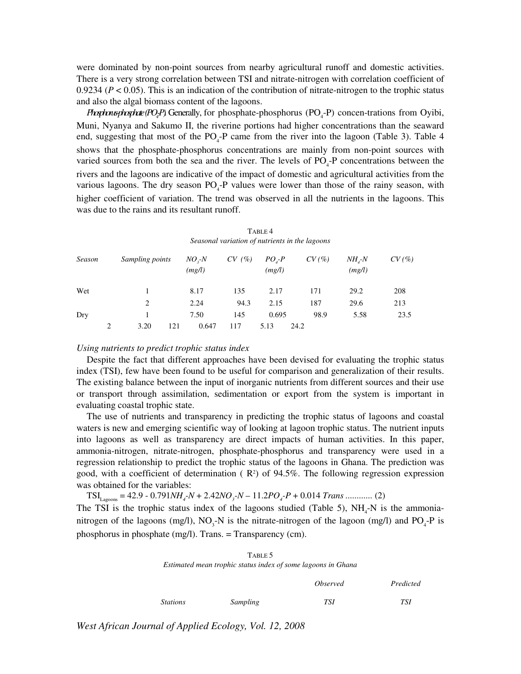were dominated by non-point sources from nearby agricultural runoff and domestic activities. There is a very strong correlation between TSI and nitrate-nitrogen with correlation coefficient of 0.9234 ( $P < 0.05$ ). This is an indication of the contribution of nitrate-nitrogen to the trophic status and also the algal biomass content of the lagoons.

*Phosphorus-phosphate (PO<sub>4</sub>P)* Generally, for phosphate-phosphorus (PO<sub>4</sub>-P) concen-trations from Oyibi, Muni, Nyanya and Sakumo II, the riverine portions had higher concentrations than the seaward end, suggesting that most of the  $PO_4$ -P came from the river into the lagoon (Table 3). Table 4 shows that the phosphate-phosphorus concentrations are mainly from non-point sources with varied sources from both the sea and the river. The levels of  $PO<sub>4</sub>-P$  concentrations between the rivers and the lagoons are indicative of the impact of domestic and agricultural activities from the various lagoons. The dry season  $PO_4$ -P values were lower than those of the rainy season, with higher coefficient of variation. The trend was observed in all the nutrients in the lagoons. This was due to the rains and its resultant runoff.

| $1$ ADLL T<br>Seasonal variation of nutrients in the lagoons |                |                 |     |                    |           |                 |       |                  |       |
|--------------------------------------------------------------|----------------|-----------------|-----|--------------------|-----------|-----------------|-------|------------------|-------|
| Season                                                       |                | Sampling points |     | $NOz$ -N<br>(mg/l) | (%)<br>CV | PO, P<br>(mg/l) | CV(%) | $NH-N$<br>(mg/l) | CV(%) |
| Wet                                                          |                |                 |     | 8.17               | 135       | 2.17            | 171   | 29.2             | 208   |
|                                                              |                | 2               |     | 2.24               | 94.3      | 2.15            | 187   | 29.6             | 213   |
| Dry                                                          |                |                 |     | 7.50               | 145       | 0.695           | 98.9  | 5.58             | 23.5  |
|                                                              | $\overline{c}$ | 3.20            | 121 | 0.647              | 117       | 5.13            | 24.2  |                  |       |

 $\text{Tr} \text{Tr} L$ 

## *Using nutrients to predict trophic status index*

Despite the fact that different approaches have been devised for evaluating the trophic status index (TSI), few have been found to be useful for comparison and generalization of their results. The existing balance between the input of inorganic nutrients from different sources and their use or transport through assimilation, sedimentation or export from the system is important in evaluating coastal trophic state.

The use of nutrients and transparency in predicting the trophic status of lagoons and coastal waters is new and emerging scientific way of looking at lagoon trophic status. The nutrient inputs into lagoons as well as transparency are direct impacts of human activities. In this paper, ammonia-nitrogen, nitrate-nitrogen, phosphate-phosphorus and transparency were used in a regression relationship to predict the trophic status of the lagoons in Ghana. The prediction was good, with a coefficient of determination ( $\mathbb{R}^2$ ) of 94.5%. The following regression expression was obtained for the variables:

TSILagoons = 42.9 - 0.791*NH<sup>4</sup> -N* + 2.42*NO<sup>3</sup> -N* – 11.2*PO<sup>4</sup> -P* + 0.014 *Trans ............* (2) The TSI is the trophic status index of the lagoons studied (Table 5),  $NH<sub>4</sub>$ -N is the ammonianitrogen of the lagoons (mg/l),  $NO_3$ -N is the nitrate-nitrogen of the lagoon (mg/l) and  $PO_4$ -P is phosphorus in phosphate (mg/l). Trans. = Transparency (cm).

TABLE 5 *Estimated mean trophic status index of some lagoons in Ghana* 

|                 |          | <i><b>Observed</b></i> | Predicted |
|-----------------|----------|------------------------|-----------|
| <b>Stations</b> | Sampling | TSI                    | TSI       |

*West African Journal of Applied Ecology, Vol. 12, 2008*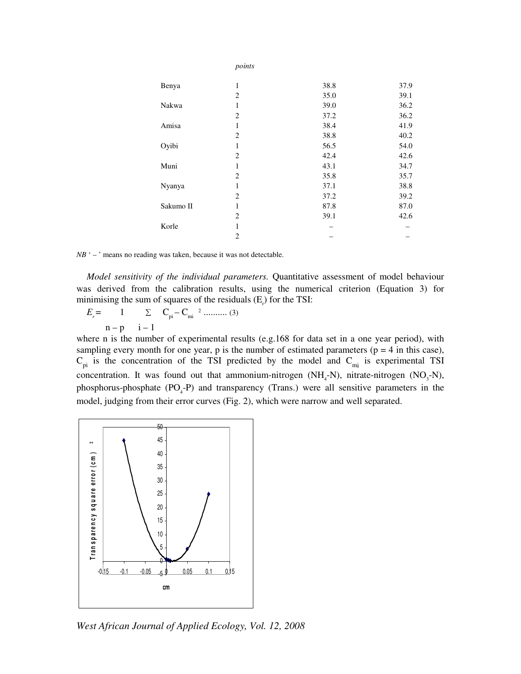|           | points         |      |      |
|-----------|----------------|------|------|
| Benya     | 1              | 38.8 | 37.9 |
|           | 2              | 35.0 | 39.1 |
| Nakwa     | 1              | 39.0 | 36.2 |
|           | $\overline{2}$ | 37.2 | 36.2 |
| Amisa     | 1              | 38.4 | 41.9 |
|           | 2              | 38.8 | 40.2 |
| Oyibi     | 1              | 56.5 | 54.0 |
|           | $\overline{2}$ | 42.4 | 42.6 |
| Muni      | 1              | 43.1 | 34.7 |
|           | $\overline{2}$ | 35.8 | 35.7 |
| Nyanya    | 1              | 37.1 | 38.8 |
|           | 2              | 37.2 | 39.2 |
| Sakumo II | 1              | 87.8 | 87.0 |
|           | $\overline{c}$ | 39.1 | 42.6 |
| Korle     | 1              |      |      |
|           | 2              |      |      |

*NB*  $\degree$  –  $\degree$  means no reading was taken, because it was not detectable.

*Model sensitivity of the individual parameters.* Quantitative assessment of model behaviour was derived from the calibration results, using the numerical criterion (Equation 3) for minimising the sum of squares of the residuals  $(E_{\rho})$  for the TSI:

*Er*  = 1 ∑ Cpi – Cmi 2 .......... (3) n – p i – 1

where n is the number of experimental results (e.g.168 for data set in a one year period), with sampling every month for one year,  $p$  is the number of estimated parameters ( $p = 4$  in this case),  $C_{pi}$  is the concentration of the TSI predicted by the model and  $C_{mi}$  is experimental TSI concentration. It was found out that ammonium-nitrogen  $(NH_4-N)$ , nitrate-nitrogen  $(NO_3-N)$ , phosphorus-phosphate  $(PO_4-P)$  and transparency (Trans.) were all sensitive parameters in the model, judging from their error curves (Fig. 2), which were narrow and well separated.



*West African Journal of Applied Ecology, Vol. 12, 2008*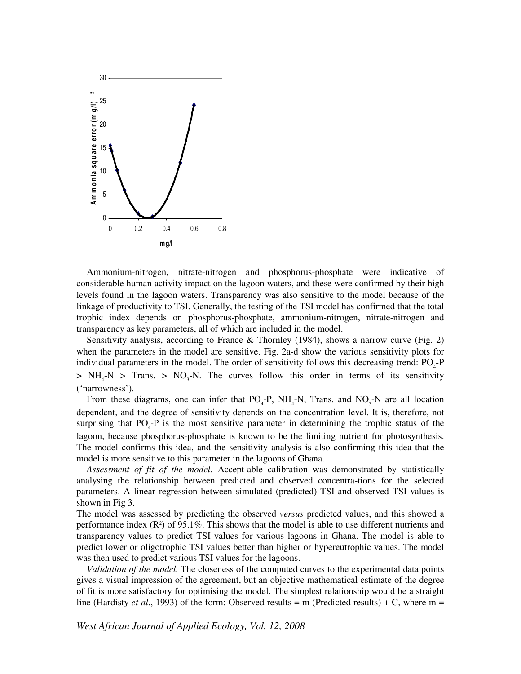

Ammonium-nitrogen, nitrate-nitrogen and phosphorus-phosphate were indicative of considerable human activity impact on the lagoon waters, and these were confirmed by their high levels found in the lagoon waters. Transparency was also sensitive to the model because of the linkage of productivity to TSI. Generally, the testing of the TSI model has confirmed that the total trophic index depends on phosphorus-phosphate, ammonium-nitrogen, nitrate-nitrogen and transparency as key parameters, all of which are included in the model.

Sensitivity analysis, according to France & Thornley (1984), shows a narrow curve (Fig. 2) when the parameters in the model are sensitive. Fig. 2a-d show the various sensitivity plots for individual parameters in the model. The order of sensitivity follows this decreasing trend:  $PO_4$ -P  $> NH_4$ -N  $> Trans. > NO_3$ -N. The curves follow this order in terms of its sensitivity ('narrowness').

From these diagrams, one can infer that  $PO_4$ -P, NH<sub>4</sub>-N, Trans. and NO<sub>3</sub>-N are all location dependent, and the degree of sensitivity depends on the concentration level. It is, therefore, not surprising that  $PO_4$ -P is the most sensitive parameter in determining the trophic status of the lagoon, because phosphorus-phosphate is known to be the limiting nutrient for photosynthesis. The model confirms this idea, and the sensitivity analysis is also confirming this idea that the model is more sensitive to this parameter in the lagoons of Ghana.

*Assessment of fit of the model.* Accept-able calibration was demonstrated by statistically analysing the relationship between predicted and observed concentra-tions for the selected parameters. A linear regression between simulated (predicted) TSI and observed TSI values is shown in Fig 3.

The model was assessed by predicting the observed *versus* predicted values, and this showed a performance index  $(R^2)$  of 95.1%. This shows that the model is able to use different nutrients and transparency values to predict TSI values for various lagoons in Ghana. The model is able to predict lower or oligotrophic TSI values better than higher or hypereutrophic values. The model was then used to predict various TSI values for the lagoons.

*Validation of the model.* The closeness of the computed curves to the experimental data points gives a visual impression of the agreement, but an objective mathematical estimate of the degree of fit is more satisfactory for optimising the model. The simplest relationship would be a straight line (Hardisty *et al.*, 1993) of the form: Observed results = m (Predicted results) + C, where m =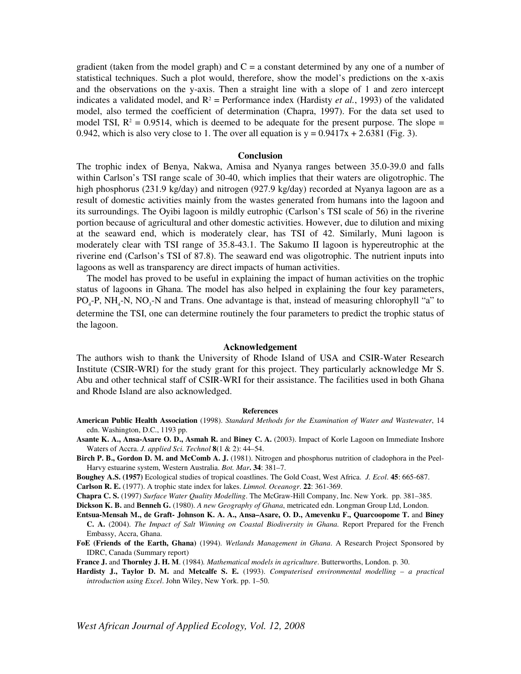gradient (taken from the model graph) and  $C = a$  constant determined by any one of a number of statistical techniques. Such a plot would, therefore, show the model's predictions on the x-axis and the observations on the y-axis. Then a straight line with a slope of 1 and zero intercept indicates a validated model, and  $R^2$  = Performance index (Hardisty *et al.*, 1993) of the validated model, also termed the coefficient of determination (Chapra, 1997). For the data set used to model TSI,  $R^2 = 0.9514$ , which is deemed to be adequate for the present purpose. The slope = 0.942, which is also very close to 1. The over all equation is  $y = 0.9417x + 2.6381$  (Fig. 3).

# **Conclusion**

The trophic index of Benya, Nakwa, Amisa and Nyanya ranges between 35.0-39.0 and falls within Carlson's TSI range scale of 30-40, which implies that their waters are oligotrophic. The high phosphorus (231.9 kg/day) and nitrogen (927.9 kg/day) recorded at Nyanya lagoon are as a result of domestic activities mainly from the wastes generated from humans into the lagoon and its surroundings. The Oyibi lagoon is mildly eutrophic (Carlson's TSI scale of 56) in the riverine portion because of agricultural and other domestic activities. However, due to dilution and mixing at the seaward end, which is moderately clear, has TSI of 42. Similarly, Muni lagoon is moderately clear with TSI range of 35.8-43.1. The Sakumo II lagoon is hypereutrophic at the riverine end (Carlson's TSI of 87.8). The seaward end was oligotrophic. The nutrient inputs into lagoons as well as transparency are direct impacts of human activities.

The model has proved to be useful in explaining the impact of human activities on the trophic status of lagoons in Ghana. The model has also helped in explaining the four key parameters,  $PO_4$ -P, NH<sub>4</sub>-N, NO<sub>3</sub>-N and Trans. One advantage is that, instead of measuring chlorophyll "a" to determine the TSI, one can determine routinely the four parameters to predict the trophic status of the lagoon.

## **Acknowledgement**

The authors wish to thank the University of Rhode Island of USA and CSIR-Water Research Institute (CSIR-WRI) for the study grant for this project. They particularly acknowledge Mr S. Abu and other technical staff of CSIR-WRI for their assistance. The facilities used in both Ghana and Rhode Island are also acknowledged.

#### **References**

- **American Public Health Association** (1998). *Standard Methods for the Examination of Water and Wastewater*, 14 edn. Washington, D.C., 1193 pp.
- **Asante K. A., Ansa-Asare O. D., Asmah R.** and **Biney C. A.** (2003). Impact of Korle Lagoon on Immediate Inshore Waters of Accra. *J. applied Sci. Technol* **8**(1 & 2): 44–54.
- **Birch P. B., Gordon D. M. and McComb A. J.** (1981). Nitrogen and phosphorus nutrition of cladophora in the Peel-Harvy estuarine system, Western Australia. *Bot. Mar***. 34**: 381–7.
- **Boughey A.S. (1957)** Ecological studies of tropical coastlines. The Gold Coast, West Africa. *J. Ecol*. **45**: 665-687. **Carlson R. E.** (1977). A trophic state index for lakes. *Limnol. Oceanogr*. **22**: 361-369.

**Chapra C. S.** (1997) *Surface Water Quality Modelling*. The McGraw-Hill Company, Inc. New York. pp. 381–385.

**Dickson K. B.** and **Benneh G.** (1980). *A new Geography of Ghana*, metricated edn. Longman Group Ltd, London.

- **Entsua-Mensah M., de Graft- Johnson K. A. A., Ansa–Asare, O. D., Amevenku F., Quarcoopome T.** and **Biney C. A.** (2004). *The Impact of Salt Winning on Coastal Biodiversity in Ghana.* Report Prepared for the French Embassy, Accra, Ghana.
- **FoE (Friends of the Earth, Ghana)** (1994). *Wetlands Management in Ghana*. A Research Project Sponsored by IDRC, Canada (Summary report)

**France J.** and **Thornley J. H. M**. (1984)*. Mathematical models in agriculture*. Butterworths, London. p. 30.

**Hardisty J., Taylor D. M.** and **Metcalfe S. E.** (1993). *Computerised environmental modelling* – *a practical introduction using Excel*. John Wiley, New York. pp. 1–50.